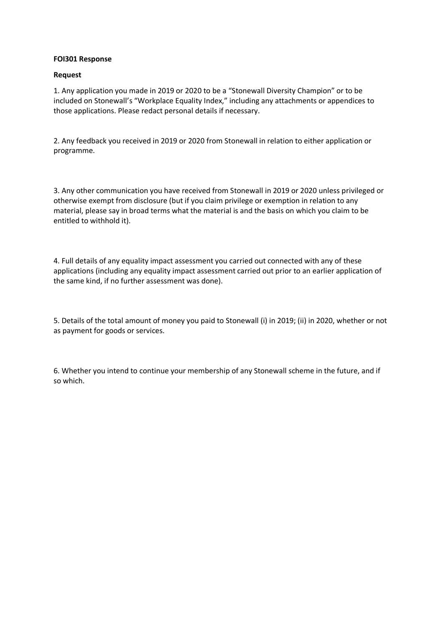### **FOI301 Response**

### **Request**

1. Any application you made in 2019 or 2020 to be a "Stonewall Diversity Champion" or to be included on Stonewall's "Workplace Equality Index," including any attachments or appendices to those applications. Please redact personal details if necessary.

2. Any feedback you received in 2019 or 2020 from Stonewall in relation to either application or programme.

3. Any other communication you have received from Stonewall in 2019 or 2020 unless privileged or otherwise exempt from disclosure (but if you claim privilege or exemption in relation to any material, please say in broad terms what the material is and the basis on which you claim to be entitled to withhold it).

4. Full details of any equality impact assessment you carried out connected with any of these applications (including any equality impact assessment carried out prior to an earlier application of the same kind, if no further assessment was done).

5. Details of the total amount of money you paid to Stonewall (i) in 2019; (ii) in 2020, whether or not as payment for goods or services.

6. Whether you intend to continue your membership of any Stonewall scheme in the future, and if so which.